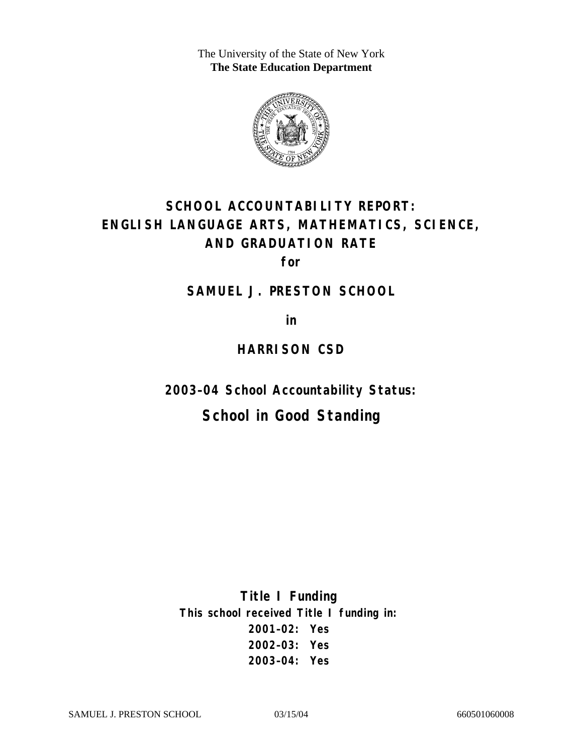The University of the State of New York **The State Education Department** 



# **SCHOOL ACCOUNTABILITY REPORT: ENGLISH LANGUAGE ARTS, MATHEMATICS, SCIENCE, AND GRADUATION RATE**

**for** 

**SAMUEL J. PRESTON SCHOOL** 

**in** 

### **HARRISON CSD**

**2003–04 School Accountability Status:** 

# **School in Good Standing**

**Title I Funding This school received Title I funding in: 2001–02: Yes 2002–03: Yes 2003–04: Yes**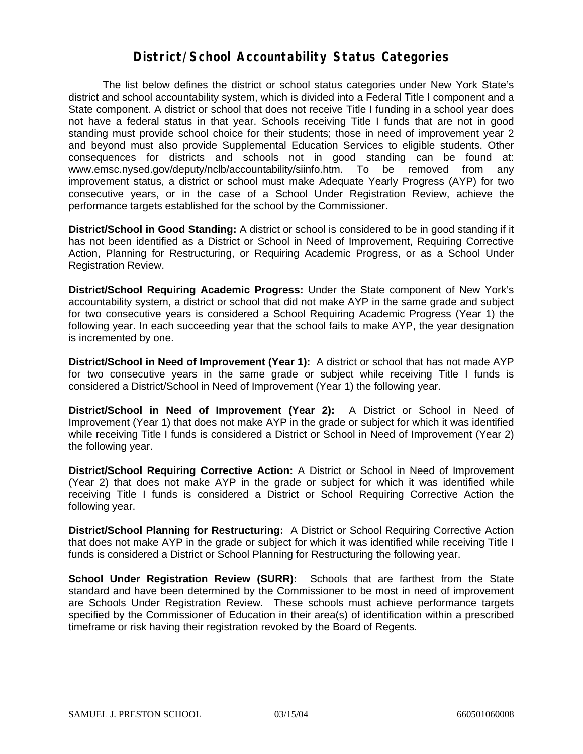#### **District/School Accountability Status Categories**

The list below defines the district or school status categories under New York State's district and school accountability system, which is divided into a Federal Title I component and a State component. A district or school that does not receive Title I funding in a school year does not have a federal status in that year. Schools receiving Title I funds that are not in good standing must provide school choice for their students; those in need of improvement year 2 and beyond must also provide Supplemental Education Services to eligible students. Other consequences for districts and schools not in good standing can be found at: www.emsc.nysed.gov/deputy/nclb/accountability/siinfo.htm. To be removed from any improvement status, a district or school must make Adequate Yearly Progress (AYP) for two consecutive years, or in the case of a School Under Registration Review, achieve the performance targets established for the school by the Commissioner.

**District/School in Good Standing:** A district or school is considered to be in good standing if it has not been identified as a District or School in Need of Improvement, Requiring Corrective Action, Planning for Restructuring, or Requiring Academic Progress, or as a School Under Registration Review.

**District/School Requiring Academic Progress:** Under the State component of New York's accountability system, a district or school that did not make AYP in the same grade and subject for two consecutive years is considered a School Requiring Academic Progress (Year 1) the following year. In each succeeding year that the school fails to make AYP, the year designation is incremented by one.

**District/School in Need of Improvement (Year 1):** A district or school that has not made AYP for two consecutive years in the same grade or subject while receiving Title I funds is considered a District/School in Need of Improvement (Year 1) the following year.

**District/School in Need of Improvement (Year 2):** A District or School in Need of Improvement (Year 1) that does not make AYP in the grade or subject for which it was identified while receiving Title I funds is considered a District or School in Need of Improvement (Year 2) the following year.

**District/School Requiring Corrective Action:** A District or School in Need of Improvement (Year 2) that does not make AYP in the grade or subject for which it was identified while receiving Title I funds is considered a District or School Requiring Corrective Action the following year.

**District/School Planning for Restructuring:** A District or School Requiring Corrective Action that does not make AYP in the grade or subject for which it was identified while receiving Title I funds is considered a District or School Planning for Restructuring the following year.

**School Under Registration Review (SURR):** Schools that are farthest from the State standard and have been determined by the Commissioner to be most in need of improvement are Schools Under Registration Review. These schools must achieve performance targets specified by the Commissioner of Education in their area(s) of identification within a prescribed timeframe or risk having their registration revoked by the Board of Regents.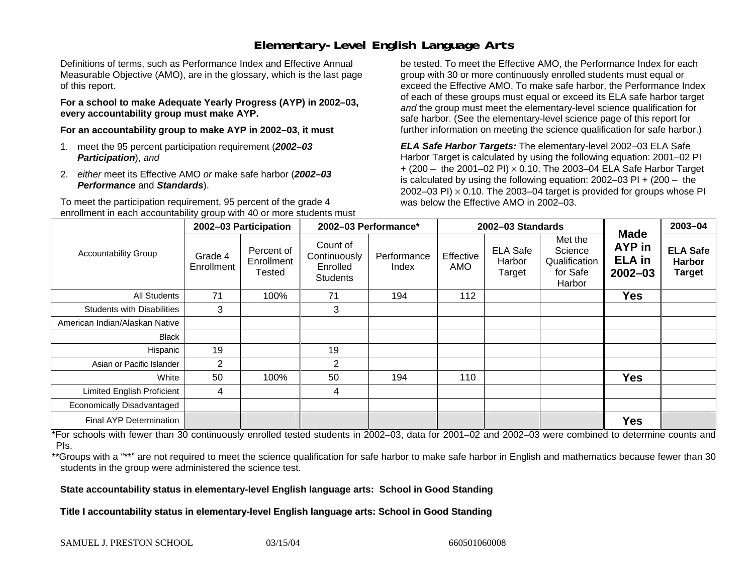# **Elementary-Level English Language Arts**

Definitions of terms, such as Performance Index and Effective Annual Measurable Objective (AMO), are in the glossary, which is the last page of this report.

**For a school to make Adequate Yearly Progress (AYP) in 2002–03, every accountability group must make AYP.** 

**For an accountability group to make AYP in 2002–03, it must** 

- 1. meet the 95 percent participation requirement (*2002–03 Participation*), *and*
- 2. *either* meet its Effective AMO *or* make safe harbor (*2002–03 Performance* and *Standards*).

To meet the participation requirement, 95 percent of the grade 4 enrollment in each accountability group with 40 or more students must

be tested. To meet the Effective AMO, the Performance Index for each group with 30 or more continuously enrolled students must equal or exceed the Effective AMO. To make safe harbor, the Performance Index of each of these groups must equal or exceed its ELA safe harbor target *and* the group must meet the elementary-level science qualification for safe harbor. (See the elementary-level science page of this report for further information on meeting the science qualification for safe harbor.)

*ELA Safe Harbor Targets:* The elementary-level 2002–03 ELA Safe Harbor Target is calculated by using the following equation: 2001–02 PI + (200 – the 2001–02 PI) <sup>×</sup> 0.10. The 2003–04 ELA Safe Harbor Target is calculated by using the following equation: 2002–03 PI + (200 – the 2002–03 PI)  $\times$  0.10. The 2003–04 target is provided for groups whose PI was below the Effective AMO in 2002–03.

| <b>Accountability Group</b>       | 2002-03 Participation |                                    | 2002-03 Performance*                                    |                      | 2002-03 Standards |                                     |                                                           |                                                              | 2003-04                                           |
|-----------------------------------|-----------------------|------------------------------------|---------------------------------------------------------|----------------------|-------------------|-------------------------------------|-----------------------------------------------------------|--------------------------------------------------------------|---------------------------------------------------|
|                                   | Grade 4<br>Enrollment | Percent of<br>Enrollment<br>Tested | Count of<br>Continuously<br>Enrolled<br><b>Students</b> | Performance<br>Index | Effective<br>AMO  | <b>ELA Safe</b><br>Harbor<br>Target | Met the<br>Science<br>Qualification<br>for Safe<br>Harbor | <b>Made</b><br><b>AYP</b> in<br><b>ELA</b> in<br>$2002 - 03$ | <b>ELA Safe</b><br><b>Harbor</b><br><b>Target</b> |
| <b>All Students</b>               | 71                    | 100%                               | 71                                                      | 194                  | 112               |                                     |                                                           | <b>Yes</b>                                                   |                                                   |
| <b>Students with Disabilities</b> | 3                     |                                    | 3                                                       |                      |                   |                                     |                                                           |                                                              |                                                   |
| American Indian/Alaskan Native    |                       |                                    |                                                         |                      |                   |                                     |                                                           |                                                              |                                                   |
| <b>Black</b>                      |                       |                                    |                                                         |                      |                   |                                     |                                                           |                                                              |                                                   |
| Hispanic                          | 19                    |                                    | 19                                                      |                      |                   |                                     |                                                           |                                                              |                                                   |
| Asian or Pacific Islander         | $\overline{2}$        |                                    | 2                                                       |                      |                   |                                     |                                                           |                                                              |                                                   |
| White                             | 50                    | 100%                               | 50                                                      | 194                  | 110               |                                     |                                                           | <b>Yes</b>                                                   |                                                   |
| <b>Limited English Proficient</b> | 4                     |                                    | 4                                                       |                      |                   |                                     |                                                           |                                                              |                                                   |
| Economically Disadvantaged        |                       |                                    |                                                         |                      |                   |                                     |                                                           |                                                              |                                                   |
| Final AYP Determination           |                       |                                    |                                                         |                      |                   |                                     |                                                           | <b>Yes</b>                                                   |                                                   |

\*For schools with fewer than 30 continuously enrolled tested students in 2002–03, data for 2001–02 and 2002–03 were combined to determine counts and PIs.

\*\*Groups with a "\*\*" are not required to meet the science qualification for safe harbor to make safe harbor in English and mathematics because fewer than 30 students in the group were administered the science test.

**State accountability status in elementary-level English language arts: School in Good Standing** 

Title I accountability status in elementary-level English language arts: School in Good Standing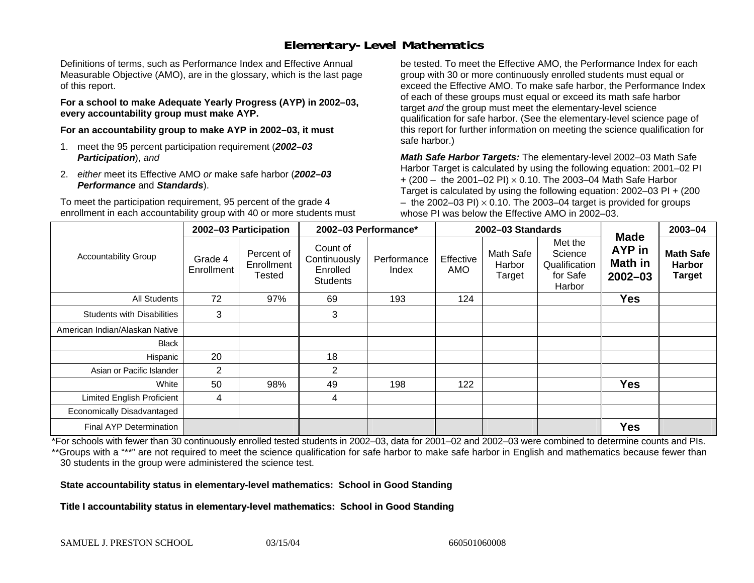# **Elementary-Level Mathematics**

Definitions of terms, such as Performance Index and Effective Annual Measurable Objective (AMO), are in the glossary, which is the last page of this report.

**For a school to make Adequate Yearly Progress (AYP) in 2002–03, every accountability group must make AYP.** 

**For an accountability group to make AYP in 2002–03, it must** 

- 1. meet the 95 percent participation requirement (*2002–03 Participation*), *and*
- 2. *either* meet its Effective AMO *or* make safe harbor (*2002–03 Performance* and *Standards*).

To meet the participation requirement, 95 percent of the grade 4 enrollment in each accountability group with 40 or more students must

be tested. To meet the Effective AMO, the Performance Index for each group with 30 or more continuously enrolled students must equal or exceed the Effective AMO. To make safe harbor, the Performance Index of each of these groups must equal or exceed its math safe harbor target *and* the group must meet the elementary-level science qualification for safe harbor. (See the elementary-level science page of this report for further information on meeting the science qualification for safe harbor.)

*Math Safe Harbor Targets:* The elementary-level 2002–03 Math Safe Harbor Target is calculated by using the following equation: 2001–02 PI + (200 – the 2001–02 PI) × 0.10. The 2003–04 Math Safe Harbor Target is calculated by using the following equation: 2002–03 PI + (200  $-$  the 2002–03 PI)  $\times$  0.10. The 2003–04 target is provided for groups whose PI was below the Effective AMO in 2002–03.

| <b>Accountability Group</b>       | 2002-03 Participation |                                    | 2002-03 Performance*                                    |                      | 2002-03 Standards |                               |                                                           |                                                        | 2003-04                                            |
|-----------------------------------|-----------------------|------------------------------------|---------------------------------------------------------|----------------------|-------------------|-------------------------------|-----------------------------------------------------------|--------------------------------------------------------|----------------------------------------------------|
|                                   | Grade 4<br>Enrollment | Percent of<br>Enrollment<br>Tested | Count of<br>Continuously<br>Enrolled<br><b>Students</b> | Performance<br>Index | Effective<br>AMO  | Math Safe<br>Harbor<br>Target | Met the<br>Science<br>Qualification<br>for Safe<br>Harbor | <b>Made</b><br><b>AYP</b> in<br>Math in<br>$2002 - 03$ | <b>Math Safe</b><br><b>Harbor</b><br><b>Target</b> |
| <b>All Students</b>               | 72                    | 97%                                | 69                                                      | 193                  | 124               |                               |                                                           | Yes                                                    |                                                    |
| <b>Students with Disabilities</b> | 3                     |                                    | 3                                                       |                      |                   |                               |                                                           |                                                        |                                                    |
| American Indian/Alaskan Native    |                       |                                    |                                                         |                      |                   |                               |                                                           |                                                        |                                                    |
| <b>Black</b>                      |                       |                                    |                                                         |                      |                   |                               |                                                           |                                                        |                                                    |
| Hispanic                          | 20                    |                                    | 18                                                      |                      |                   |                               |                                                           |                                                        |                                                    |
| Asian or Pacific Islander         | 2                     |                                    | 2                                                       |                      |                   |                               |                                                           |                                                        |                                                    |
| White                             | 50                    | 98%                                | 49                                                      | 198                  | 122               |                               |                                                           | <b>Yes</b>                                             |                                                    |
| <b>Limited English Proficient</b> | 4                     |                                    | 4                                                       |                      |                   |                               |                                                           |                                                        |                                                    |
| Economically Disadvantaged        |                       |                                    |                                                         |                      |                   |                               |                                                           |                                                        |                                                    |
| <b>Final AYP Determination</b>    |                       |                                    |                                                         |                      |                   |                               |                                                           | <b>Yes</b>                                             |                                                    |

\*For schools with fewer than 30 continuously enrolled tested students in 2002–03, data for 2001–02 and 2002–03 were combined to determine counts and PIs. \*\*Groups with a "\*\*" are not required to meet the science qualification for safe harbor to make safe harbor in English and mathematics because fewer than 30 students in the group were administered the science test.

**State accountability status in elementary-level mathematics: School in Good Standing** 

Title I accountability status in elementary-level mathematics: School in Good Standing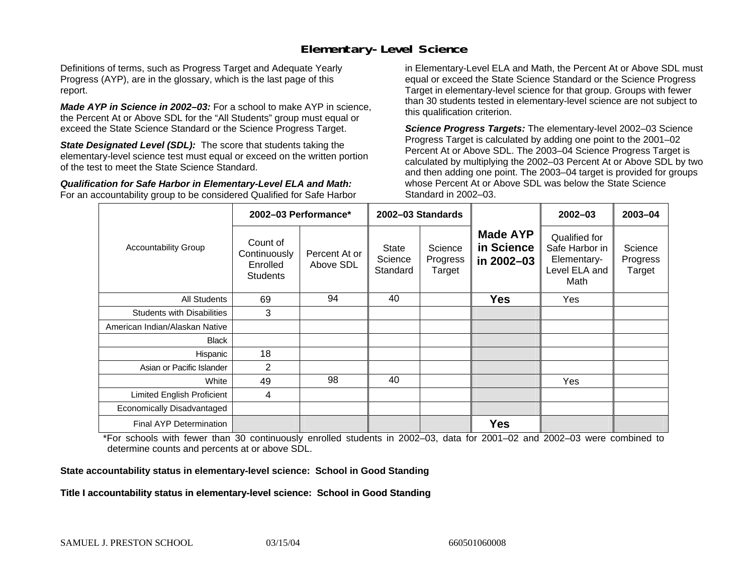### **Elementary-Level Science**

Definitions of terms, such as Progress Target and Adequate Yearly Progress (AYP), are in the glossary, which is the last page of this report.

*Made AYP in Science in 2002–03:* For a school to make AYP in science, the Percent At or Above SDL for the "All Students" group must equal or exceed the State Science Standard or the Science Progress Target.

**State Designated Level (SDL):** The score that students taking the elementary-level science test must equal or exceed on the written portion of the test to meet the State Science Standard.

*Qualification for Safe Harbor in Elementary-Level ELA and Math:* For an accountability group to be considered Qualified for Safe Harbor in Elementary-Level ELA and Math, the Percent At or Above SDL must equal or exceed the State Science Standard or the Science Progress Target in elementary-level science for that group. Groups with fewer than 30 students tested in elementary-level science are not subject to this qualification criterion.

*Science Progress Targets:* The elementary-level 2002–03 Science Progress Target is calculated by adding one point to the 2001–02 Percent At or Above SDL. The 2003–04 Science Progress Target is calculated by multiplying the 2002–03 Percent At or Above SDL by two and then adding one point. The 2003–04 target is provided for groups whose Percent At or Above SDL was below the State Science Standard in 2002–03.

|                                   |                                                         | 2002-03 Performance*       | 2002-03 Standards            |                               |                                             | $2002 - 03$                                                             | 2003-04                       |
|-----------------------------------|---------------------------------------------------------|----------------------------|------------------------------|-------------------------------|---------------------------------------------|-------------------------------------------------------------------------|-------------------------------|
| <b>Accountability Group</b>       | Count of<br>Continuously<br>Enrolled<br><b>Students</b> | Percent At or<br>Above SDL | State<br>Science<br>Standard | Science<br>Progress<br>Target | <b>Made AYP</b><br>in Science<br>in 2002-03 | Qualified for<br>Safe Harbor in<br>Elementary-<br>Level ELA and<br>Math | Science<br>Progress<br>Target |
| All Students                      | 69                                                      | 94                         | 40                           |                               | <b>Yes</b>                                  | Yes                                                                     |                               |
| <b>Students with Disabilities</b> | 3                                                       |                            |                              |                               |                                             |                                                                         |                               |
| American Indian/Alaskan Native    |                                                         |                            |                              |                               |                                             |                                                                         |                               |
| <b>Black</b>                      |                                                         |                            |                              |                               |                                             |                                                                         |                               |
| Hispanic                          | 18                                                      |                            |                              |                               |                                             |                                                                         |                               |
| Asian or Pacific Islander         | 2                                                       |                            |                              |                               |                                             |                                                                         |                               |
| White                             | 49                                                      | 98                         | 40                           |                               |                                             | Yes                                                                     |                               |
| Limited English Proficient        | 4                                                       |                            |                              |                               |                                             |                                                                         |                               |
| Economically Disadvantaged        |                                                         |                            |                              |                               |                                             |                                                                         |                               |
| <b>Final AYP Determination</b>    |                                                         |                            |                              |                               | <b>Yes</b>                                  |                                                                         |                               |

\*For schools with fewer than 30 continuously enrolled students in 2002–03, data for 2001–02 and 2002–03 were combined to determine counts and percents at or above SDL.

#### **State accountability status in elementary-level science: School in Good Standing**

#### Title I accountability status in elementary-level science: School in Good Standing